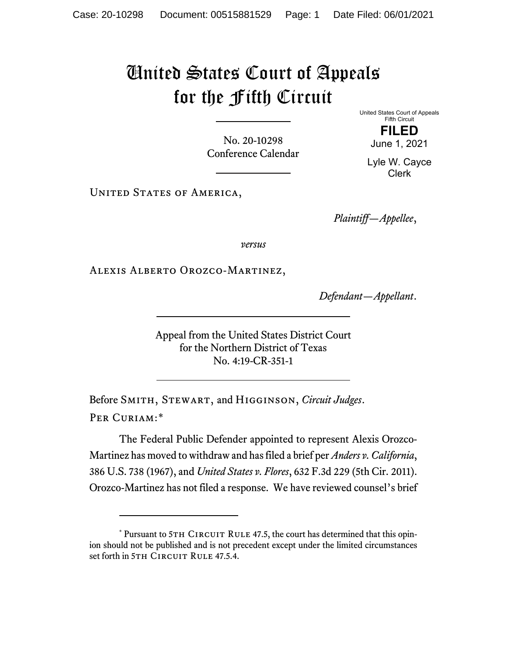## United States Court of Appeals for the Fifth Circuit

No. 20-10298 Conference Calendar United States Court of Appeals Fifth Circuit **FILED**

June 1, 2021

Lyle W. Cayce Clerk

UNITED STATES OF AMERICA,

*Plaintiff—Appellee*,

*versus*

Alexis Alberto Orozco-Martinez,

*Defendant—Appellant*.

Appeal from the United States District Court for the Northern District of Texas No. 4:19-CR-351-1

Before Smith, Stewart, and Higginson, *Circuit Judges*. Per Curiam:[\\*](#page-0-0)

The Federal Public Defender appointed to represent Alexis Orozco-Martinez has moved to withdraw and has filed a brief per *Anders v. California*, 386 U.S. 738 (1967), and *United States v. Flores*, 632 F.3d 229 (5th Cir. 2011). Orozco-Martinez has not filed a response. We have reviewed counsel's brief

<span id="page-0-0"></span> $*$  Pursuant to 5TH CIRCUIT RULE 47.5, the court has determined that this opinion should not be published and is not precedent except under the limited circumstances set forth in 5TH CIRCUIT RULE 47.5.4.